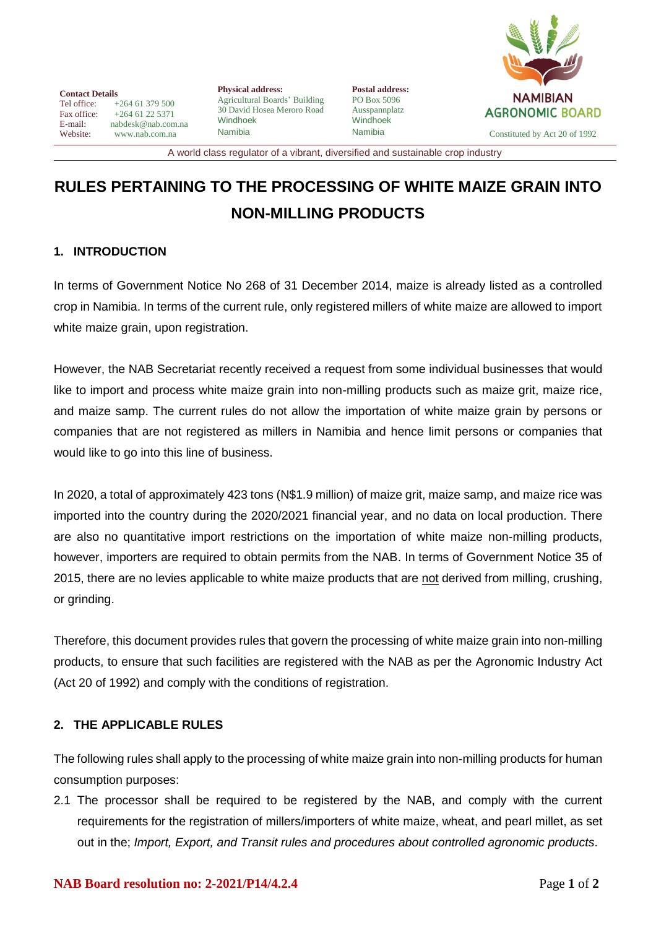

**Contact Details**<br>Tel office: Tel office: +264 61 379 500<br>Fax office: +264 61 22 5371 Fax office:  $+264 61 22 5371$ <br>E-mail: nabdesk@nab.com E-mail: nabdesk@nab.com.na<br>Website: www.nab.com.na [www.nab.com.na](http://www.nab.com.na/)

**Physical address:** Agricultural Boards' Building 30 David Hosea Meroro Road Windhoek Namibia

**Postal address:** PO Box 5096 Ausspannplatz Windhoek

Namibia Constituted by Act 20 of 1992

A world class regulator of a vibrant, diversified and sustainable crop industry

## **RULES PERTAINING TO THE PROCESSING OF WHITE MAIZE GRAIN INTO NON-MILLING PRODUCTS**

## **1. INTRODUCTION**

In terms of Government Notice No 268 of 31 December 2014, maize is already listed as a controlled crop in Namibia. In terms of the current rule, only registered millers of white maize are allowed to import white maize grain, upon registration.

However, the NAB Secretariat recently received a request from some individual businesses that would like to import and process white maize grain into non-milling products such as maize grit, maize rice, and maize samp. The current rules do not allow the importation of white maize grain by persons or companies that are not registered as millers in Namibia and hence limit persons or companies that would like to go into this line of business.

In 2020, a total of approximately 423 tons (N\$1.9 million) of maize grit, maize samp, and maize rice was imported into the country during the 2020/2021 financial year, and no data on local production. There are also no quantitative import restrictions on the importation of white maize non-milling products, however, importers are required to obtain permits from the NAB. In terms of Government Notice 35 of 2015, there are no levies applicable to white maize products that are not derived from milling, crushing, or grinding.

Therefore, this document provides rules that govern the processing of white maize grain into non-milling products, to ensure that such facilities are registered with the NAB as per the Agronomic Industry Act (Act 20 of 1992) and comply with the conditions of registration.

## **2. THE APPLICABLE RULES**

The following rules shall apply to the processing of white maize grain into non-milling products for human consumption purposes:

2.1 The processor shall be required to be registered by the NAB, and comply with the current requirements for the registration of millers/importers of white maize, wheat, and pearl millet, as set out in the; *Import, Export, and Transit rules and procedures about controlled agronomic products*.